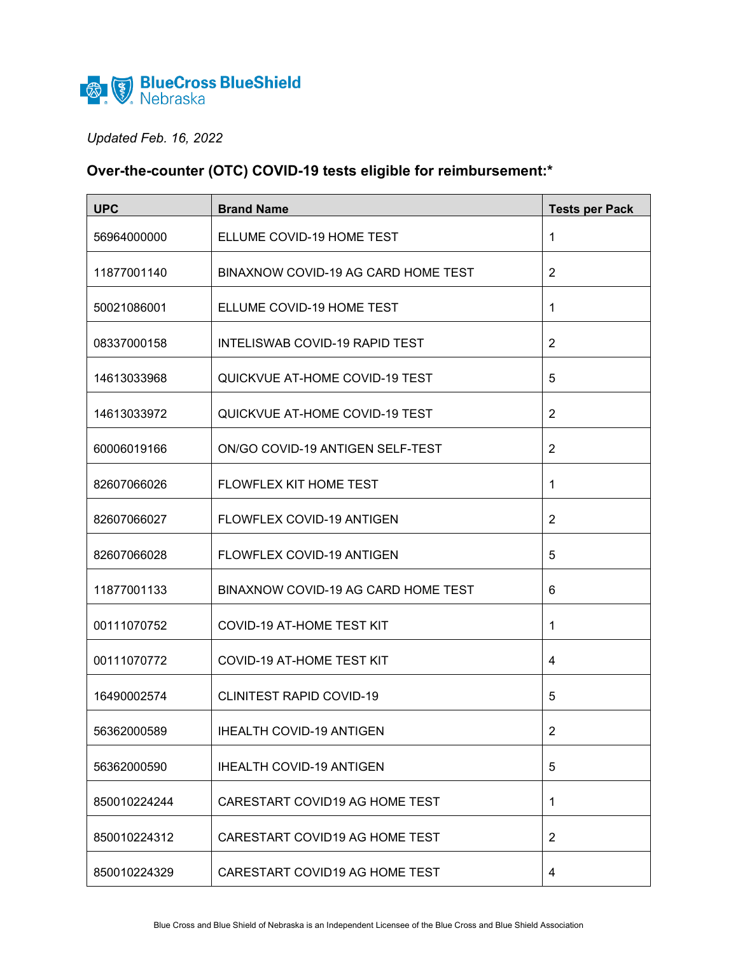

## *Updated Feb. 16, 2022*

## **Over-the-counter (OTC) COVID-19 tests eligible for reimbursement:\***

| <b>UPC</b>   | <b>Brand Name</b>                     | <b>Tests per Pack</b> |
|--------------|---------------------------------------|-----------------------|
| 56964000000  | ELLUME COVID-19 HOME TEST             | 1                     |
| 11877001140  | BINAXNOW COVID-19 AG CARD HOME TEST   | $\overline{2}$        |
| 50021086001  | ELLUME COVID-19 HOME TEST             | 1                     |
| 08337000158  | <b>INTELISWAB COVID-19 RAPID TEST</b> | $\overline{2}$        |
| 14613033968  | QUICKVUE AT-HOME COVID-19 TEST        | 5                     |
| 14613033972  | QUICKVUE AT-HOME COVID-19 TEST        | $\overline{2}$        |
| 60006019166  | ON/GO COVID-19 ANTIGEN SELF-TEST      | $\overline{2}$        |
| 82607066026  | FLOWFLEX KIT HOME TEST                | 1                     |
| 82607066027  | FLOWFLEX COVID-19 ANTIGEN             | $\overline{2}$        |
| 82607066028  | <b>FLOWFLEX COVID-19 ANTIGEN</b>      | 5                     |
| 11877001133  | BINAXNOW COVID-19 AG CARD HOME TEST   | 6                     |
| 00111070752  | <b>COVID-19 AT-HOME TEST KIT</b>      | 1                     |
| 00111070772  | <b>COVID-19 AT-HOME TEST KIT</b>      | 4                     |
| 16490002574  | <b>CLINITEST RAPID COVID-19</b>       | 5                     |
| 56362000589  | <b>IHEALTH COVID-19 ANTIGEN</b>       | 2                     |
| 56362000590  | <b>IHEALTH COVID-19 ANTIGEN</b>       | 5                     |
| 850010224244 | CARESTART COVID19 AG HOME TEST        | 1                     |
| 850010224312 | CARESTART COVID19 AG HOME TEST        | $\overline{2}$        |
| 850010224329 | CARESTART COVID19 AG HOME TEST        | 4                     |